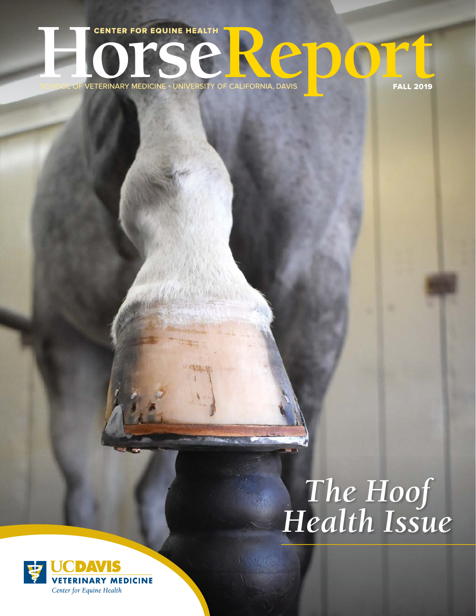## FALL 2019 CENTER FOR EQUINE HEALTH VETERINARY MEDICINE • UNIVERSITY OF CALIFORNIA, DAVIS

# *The Hoof Health Issue*

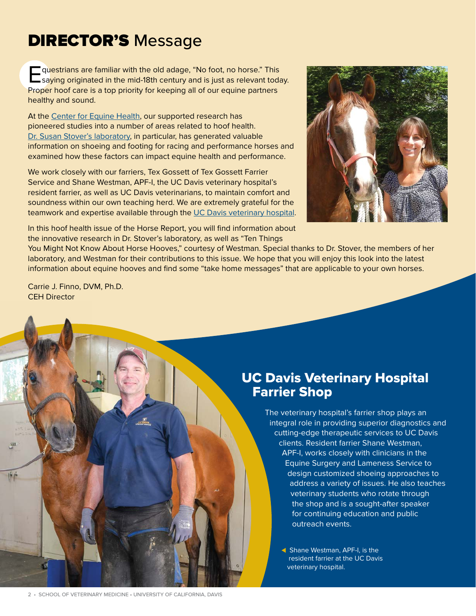## **DIRECTOR'S Message**

Equestrians are familiar with the old adage, "No foot, no horse." This saying originated in the mid-18th century and is just as relevant today. Proper hoof care is a top priority for keeping all of our equine partners healthy and sound.

At the [Center for Equine Health,](https://ceh.vetmed.ucdavis.edu/) our supported research has pioneered studies into a number of areas related to hoof health. [Dr. Susan Stover's laboratory](https://vorl.vetmed.ucdavis.edu/), in particular, has generated valuable information on shoeing and footing for racing and performance horses and examined how these factors can impact equine health and performance.

We work closely with our farriers, Tex Gossett of Tex Gossett Farrier Service and Shane Westman, APF-I, the UC Davis veterinary hospital's resident farrier, as well as UC Davis veterinarians, to maintain comfort and soundness within our own teaching herd. We are extremely grateful for the teamwork and expertise available through the [UC Davis veterinary hospital.](https://www.vetmed.ucdavis.edu/index.php/hospital)



In this hoof health issue of the Horse Report, you will find information about the innovative research in Dr. Stover's laboratory, as well as "Ten Things

You Might Not Know About Horse Hooves," courtesy of Westman. Special thanks to Dr. Stover, the members of her laboratory, and Westman for their contributions to this issue. We hope that you will enjoy this look into the latest information about equine hooves and find some "take home messages" that are applicable to your own horses.

Carrie J. Finno, DVM, Ph.D. CEH Director

#### UC Davis Veterinary Hospital Farrier Shop

The veterinary hospital's farrier shop plays an integral role in providing superior diagnostics and cutting-edge therapeutic services to UC Davis clients. Resident farrier Shane Westman, APF-I, works closely with clinicians in the Equine Surgery and Lameness Service to design customized shoeing approaches to address a variety of issues. He also teaches veterinary students who rotate through the shop and is a sought-after speaker for continuing education and public outreach events.

◆ Shane Westman, APF-I, is the resident farrier at the UC Davis veterinary hospital.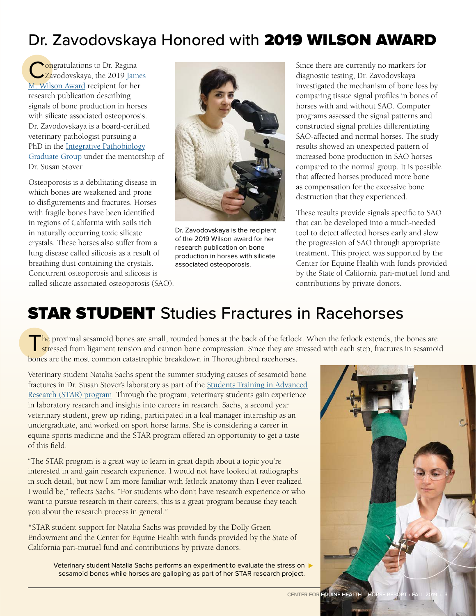## Dr. Zavodovskaya Honored with 2019 WILSON AWARD

**Congratulations to Dr. Regina** Zavodovskaya, the 2019 [James](https://ceh.vetmed.ucdavis.edu/awards) [M. Wilson Award](https://ceh.vetmed.ucdavis.edu/awards) recipient for her research publication describing signals of bone production in horses with silicate associated osteoporosis. Dr. Zavodovskaya is a board-certified veterinary pathologist pursuing a PhD in the [Integrative Pathobiology](https://integrativepath.vetmed.ucdavis.edu/) [Graduate Group](https://integrativepath.vetmed.ucdavis.edu/) under the mentorship of Dr. Susan Stover.

Osteoporosis is a debilitating disease in which bones are weakened and prone to disfigurements and fractures. Horses with fragile bones have been identified in regions of California with soils rich in naturally occurring toxic silicate crystals. These horses also suffer from a lung disease called silicosis as a result of breathing dust containing the crystals. Concurrent osteoporosis and silicosis is called silicate associated osteoporosis (SAO).



Dr. Zavodovskaya is the recipient of the 2019 Wilson award for her research publication on bone production in horses with silicate associated osteoporosis.

Since there are currently no markers for diagnostic testing, Dr. Zavodovskaya investigated the mechanism of bone loss by comparing tissue signal profiles in bones of horses with and without SAO. Computer programs assessed the signal patterns and constructed signal profiles differentiating SAO-affected and normal horses. The study results showed an unexpected pattern of increased bone production in SAO horses compared to the normal group. It is possible that affected horses produced more bone as compensation for the excessive bone destruction that they experienced.

These results provide signals specific to SAO that can be developed into a much-needed tool to detect affected horses early and slow the progression of SAO through appropriate treatment. This project was supported by the Center for Equine Health with funds provided by the State of California pari-mutuel fund and contributions by private donors.

## **STAR STUDENT** Studies Fractures in Racehorses

The proximal sesamoid bones are small, rounded bones at the back of the fetlock. When the fetlock extends, the bones are stressed from ligament tension and cannon bone compression. Since they are stressed with each step, f bones are the most common catastrophic breakdown in Thoroughbred racehorses.

Veterinary student Natalia Sachs spent the summer studying causes of sesamoid bone fractures in Dr. Susan Stover's laboratory as part of the [Students Training in Advanced](https://www.vetmed.ucdavis.edu/research/student-research/star)  [Research \(STAR\) program](https://www.vetmed.ucdavis.edu/research/student-research/star). Through the program, veterinary students gain experience in laboratory research and insights into careers in research. Sachs, a second year veterinary student, grew up riding, participated in a foal manager internship as an undergraduate, and worked on sport horse farms. She is considering a career in equine sports medicine and the STAR program offered an opportunity to get a taste of this field.

"The STAR program is a great way to learn in great depth about a topic you're interested in and gain research experience. I would not have looked at radiographs in such detail, but now I am more familiar with fetlock anatomy than I ever realized I would be," reflects Sachs. "For students who don't have research experience or who want to pursue research in their careers, this is a great program because they teach you about the research process in general."

\*STAR student support for Natalia Sachs was provided by the Dolly Green Endowment and the Center for Equine Health with funds provided by the State of California pari-mutuel fund and contributions by private donors.

Veterinary student Natalia Sachs performs an experiment to evaluate the stress on sesamoid bones while horses are galloping as part of her STAR research project.

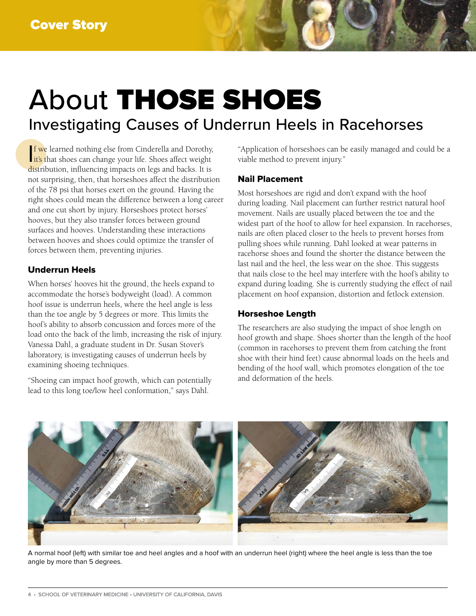# About THOSE SHOES

Investigating Causes of Underrun Heels in Racehorses

If we learned nothing else from Cinderella and Dorothy, it's that shoes can change your life. Shoes affect weight f we learned nothing else from Cinderella and Dorothy, distribution, influencing impacts on legs and backs. It is not surprising, then, that horseshoes affect the distribution of the 78 psi that horses exert on the ground. Having the right shoes could mean the difference between a long career and one cut short by injury. Horseshoes protect horses' hooves, but they also transfer forces between ground surfaces and hooves. Understanding these interactions between hooves and shoes could optimize the transfer of forces between them, preventing injuries.

#### Underrun Heels

When horses' hooves hit the ground, the heels expand to accommodate the horse's bodyweight (load). A common hoof issue is underrun heels, where the heel angle is less than the toe angle by 5 degrees or more. This limits the hoof's ability to absorb concussion and forces more of the load onto the back of the limb, increasing the risk of injury. Vanessa Dahl, a graduate student in Dr. Susan Stover's laboratory, is investigating causes of underrun heels by examining shoeing techniques.

"Shoeing can impact hoof growth, which can potentially lead to this long toe/low heel conformation," says Dahl.

"Application of horseshoes can be easily managed and could be a viable method to prevent injury."

#### Nail Placement

Most horseshoes are rigid and don't expand with the hoof during loading. Nail placement can further restrict natural hoof movement. Nails are usually placed between the toe and the widest part of the hoof to allow for heel expansion. In racehorses, nails are often placed closer to the heels to prevent horses from pulling shoes while running. Dahl looked at wear patterns in racehorse shoes and found the shorter the distance between the last nail and the heel, the less wear on the shoe. This suggests that nails close to the heel may interfere with the hoof's ability to expand during loading. She is currently studying the effect of nail placement on hoof expansion, distortion and fetlock extension.

#### Horseshoe Length

The researchers are also studying the impact of shoe length on hoof growth and shape. Shoes shorter than the length of the hoof (common in racehorses to prevent them from catching the front shoe with their hind feet) cause abnormal loads on the heels and bending of the hoof wall, which promotes elongation of the toe and deformation of the heels.



A normal hoof (left) with similar toe and heel angles and a hoof with an underrun heel (right) where the heel angle is less than the toe angle by more than 5 degrees.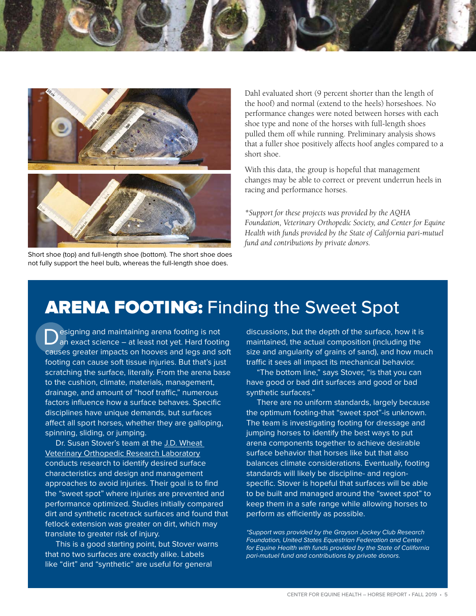



Short shoe (top) and full-length shoe (bottom). The short shoe does not fully support the heel bulb, whereas the full-length shoe does.

Dahl evaluated short (9 percent shorter than the length of the hoof) and normal (extend to the heels) horseshoes. No performance changes were noted between horses with each shoe type and none of the horses with full-length shoes pulled them off while running. Preliminary analysis shows that a fuller shoe positively affects hoof angles compared to a short shoe.

With this data, the group is hopeful that management changes may be able to correct or prevent underrun heels in racing and performance horses.

*\*Support for these projects was provided by the AQHA Foundation, Veterinary Orthopedic Society, and Center for Equine Health with funds provided by the State of California pari-mutuel fund and contributions by private donors.*

## **ARENA FOOTING: Finding the Sweet Spot**

**Designing and maintaining arena footing is not**<br> **an exact science – at least not yet. Hard footing** causes greater impacts on hooves and legs and soft footing can cause soft tissue injuries. But that's just scratching the surface, literally. From the arena base to the cushion, climate, materials, management, drainage, and amount of "hoof traffic," numerous factors influence how a surface behaves. Specific disciplines have unique demands, but surfaces affect all sport horses, whether they are galloping, spinning, sliding, or jumping.

Dr. Susan Stover's team at the [J.D. Wheat](https://vorl.vetmed.ucdavis.edu/)  [Veterinary Orthopedic Research Laboratory](https://vorl.vetmed.ucdavis.edu/) conducts research to identify desired surface characteristics and design and management approaches to avoid injuries. Their goal is to find the "sweet spot" where injuries are prevented and performance optimized. Studies initially compared dirt and synthetic racetrack surfaces and found that fetlock extension was greater on dirt, which may translate to greater risk of injury.

This is a good starting point, but Stover warns that no two surfaces are exactly alike. Labels like "dirt" and "synthetic" are useful for general

discussions, but the depth of the surface, how it is maintained, the actual composition (including the size and angularity of grains of sand), and how much traffic it sees all impact its mechanical behavior.

"The bottom line," says Stover, "is that you can have good or bad dirt surfaces and good or bad synthetic surfaces."

There are no uniform standards, largely because the optimum footing-that "sweet spot"-is unknown. The team is investigating footing for dressage and jumping horses to identify the best ways to put arena components together to achieve desirable surface behavior that horses like but that also balances climate considerations. Eventually, footing standards will likely be discipline- and regionspecific. Stover is hopeful that surfaces will be able to be built and managed around the "sweet spot" to keep them in a safe range while allowing horses to perform as efficiently as possible.

*\*Support was provided by the Grayson Jockey Club Research Foundation, United States Equestrian Federation and Center for Equine Health with funds provided by the State of California pari-mutuel fund and contributions by private donors.*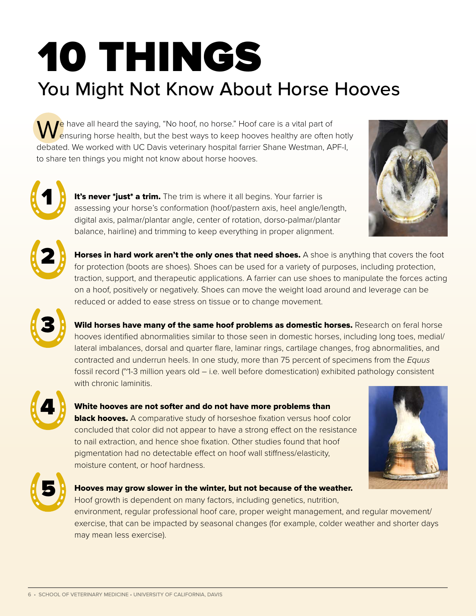# 10 THINGS You Might Not Know About Horse Hooves

e have all heard the saying, "No hoof, no horse." Hoof care is a vital part of ensuring horse health, but the best ways to keep hooves healthy are often hotly debated. We worked with UC Davis veterinary hospital farrier Shane Westman, APF-I, to share ten things you might not know about horse hooves.



It's never \*just\* a trim. The trim is where it all begins. Your farrier is assessing your horse's conformation (hoof/pastern axis, heel angle/length, digital axis, palmar/plantar angle, center of rotation, dorso-palmar/plantar balance, hairline) and trimming to keep everything in proper alignment.





Horses in hard work aren't the only ones that need shoes. A shoe is anything that covers the foot for protection (boots are shoes). Shoes can be used for a variety of purposes, including protection, traction, support, and therapeutic applications. A farrier can use shoes to manipulate the forces acting on a hoof, positively or negatively. Shoes can move the weight load around and leverage can be reduced or added to ease stress on tissue or to change movement.



Wild horses have many of the same hoof problems as domestic horses. Research on feral horse hooves identified abnormalities similar to those seen in domestic horses, including long toes, medial/ lateral imbalances, dorsal and quarter flare, laminar rings, cartilage changes, frog abnormalities, and contracted and underrun heels. In one study, more than 75 percent of specimens from the *Equus*  fossil record (~1-3 million years old – i.e. well before domestication) exhibited pathology consistent with chronic laminitis.



White hooves are not softer and do not have more problems than **black hooves.** A comparative study of horseshoe fixation versus hoof color concluded that color did not appear to have a strong effect on the resistance to nail extraction, and hence shoe fixation. Other studies found that hoof pigmentation had no detectable effect on hoof wall stiffness/elasticity, moisture content, or hoof hardness.





Hooves may grow slower in the winter, but not because of the weather. Hoof growth is dependent on many factors, including genetics, nutrition, environment, regular professional hoof care, proper weight management, and regular movement/ exercise, that can be impacted by seasonal changes (for example, colder weather and shorter days may mean less exercise).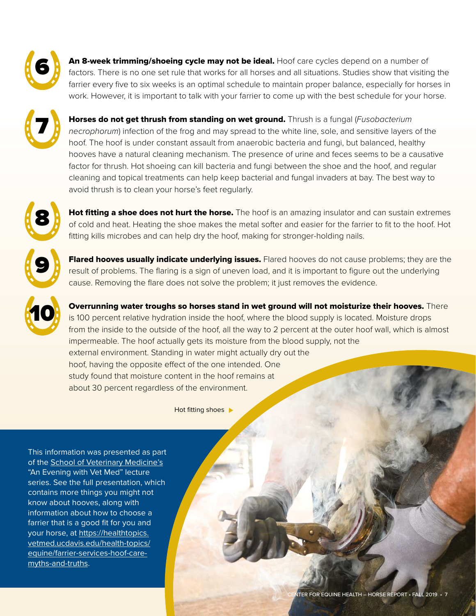

An 8-week trimming/shoeing cycle may not be ideal. Hoof care cycles depend on a number of factors. There is no one set rule that works for all horses and all situations. Studies show that visiting the farrier every five to six weeks is an optimal schedule to maintain proper balance, especially for horses in work. However, it is important to talk with your farrier to come up with the best schedule for your horse.



Horses do not get thrush from standing on wet ground. Thrush is a fungal (*Fusobacterium necrophorum*) infection of the frog and may spread to the white line, sole, and sensitive layers of the hoof. The hoof is under constant assault from anaerobic bacteria and fungi, but balanced, healthy hooves have a natural cleaning mechanism. The presence of urine and feces seems to be a causative factor for thrush. Hot shoeing can kill bacteria and fungi between the shoe and the hoof, and regular cleaning and topical treatments can help keep bacterial and fungal invaders at bay. The best way to avoid thrush is to clean your horse's feet regularly.



Hot fitting a shoe does not hurt the horse. The hoof is an amazing insulator and can sustain extremes of cold and heat. Heating the shoe makes the metal softer and easier for the farrier to fit to the hoof. Hot fitting kills microbes and can help dry the hoof, making for stronger-holding nails.

Flared hooves usually indicate underlying issues. Flared hooves do not cause problems; they are the result of problems. The flaring is a sign of uneven load, and it is important to figure out the underlying cause. Removing the flare does not solve the problem; it just removes the evidence.



9

Overrunning water troughs so horses stand in wet ground will not moisturize their hooves. There is 100 percent relative hydration inside the hoof, where the blood supply is located. Moisture drops from the inside to the outside of the hoof, all the way to 2 percent at the outer hoof wall, which is almost impermeable. The hoof actually gets its moisture from the blood supply, not the external environment. Standing in water might actually dry out the hoof, having the opposite effect of the one intended. One study found that moisture content in the hoof remains at about 30 percent regardless of the environment.

Hot fitting shoes  $\blacktriangleright$ 

This information was presented as part of the **School of Veterinary Medicine's** "An Evening with Vet Med" lecture series. See the full presentation, which contains more things you might not know about hooves, along with information about how to choose a farrier that is a good fit for you and your horse, at [https://healthtopics.](https://healthtopics.vetmed.ucdavis.edu/health-topics/equine/farrier-services-hoof-care-myths-and-truths) [vetmed.ucdavis.edu/health-topics/](https://healthtopics.vetmed.ucdavis.edu/health-topics/equine/farrier-services-hoof-care-myths-and-truths) [equine/farrier-services-hoof-care](https://healthtopics.vetmed.ucdavis.edu/health-topics/equine/farrier-services-hoof-care-myths-and-truths)[myths-and-truths](https://healthtopics.vetmed.ucdavis.edu/health-topics/equine/farrier-services-hoof-care-myths-and-truths).